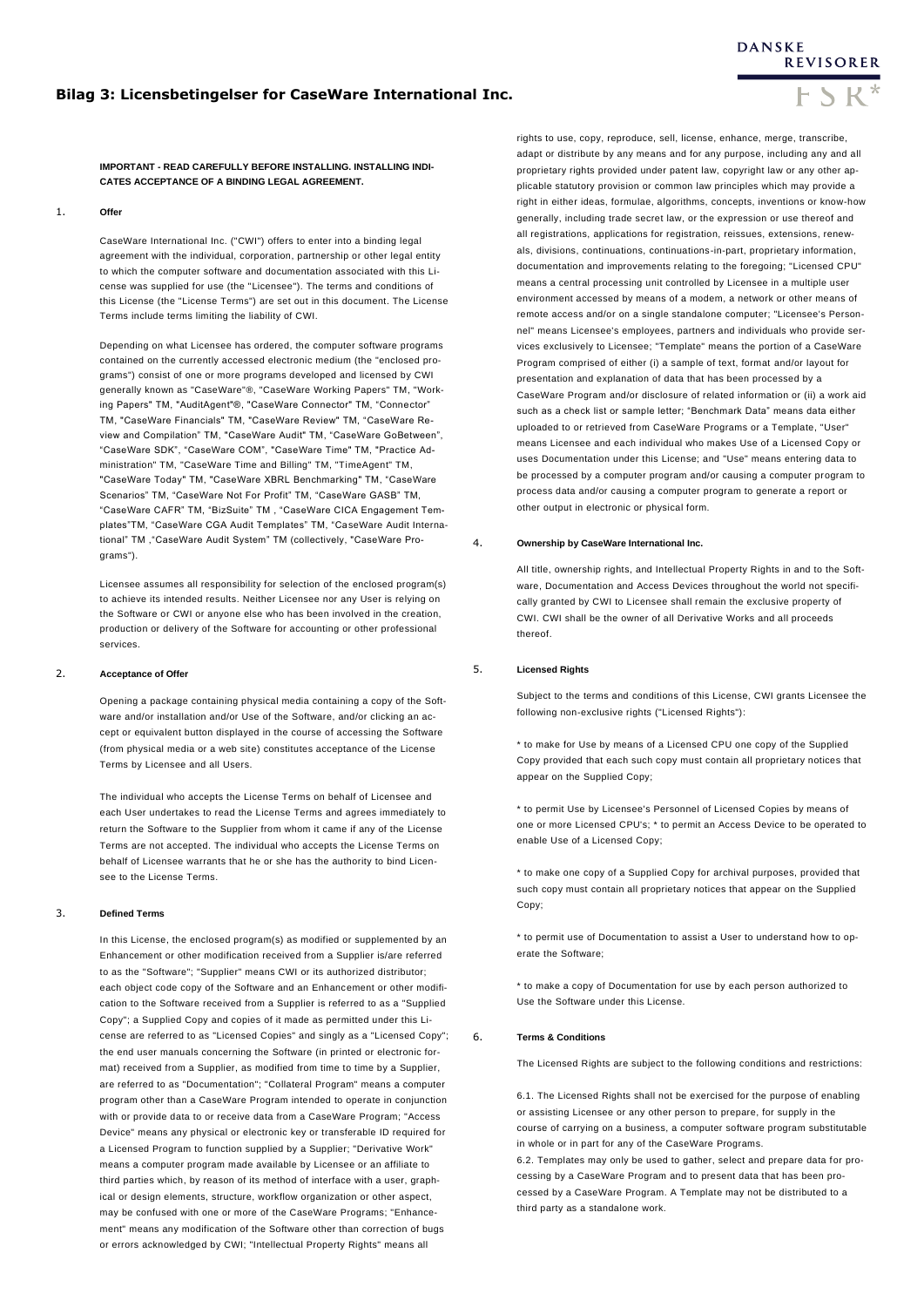# **Bilag 3: Licensbetingelser for CaseWare International Inc.**

# **DANSKE REVISORER**

**IMPORTANT - READ CAREFULLY BEFORE INSTALLING. INSTALLING INDI-CATES ACCEPTANCE OF A BINDING LEGAL AGREEMENT.**

#### 1. **Offer**

CaseWare International Inc. ("CWI") offers to enter into a binding legal agreement with the individual, corporation, partnership or other legal entity to which the computer software and documentation associated with this License was supplied for use (the "Licensee"). The terms and conditions of this License (the "License Terms") are set out in this document. The License Terms include terms limiting the liability of CWI.

Depending on what Licensee has ordered, the computer software programs contained on the currently accessed electronic medium (the "enclosed programs") consist of one or more programs developed and licensed by CWI generally known as "CaseWare"®, "CaseWare Working Papers" TM, "Working Papers" TM, "AuditAgent"®, "CaseWare Connector" TM, "Connector" TM, "CaseWare Financials" TM, "CaseWare Review" TM, "CaseWare Review and Compilation" TM, "CaseWare Audit" TM, "CaseWare GoBetween", "CaseWare SDK", "CaseWare COM", "CaseWare Time" TM, "Practice Administration" TM, "CaseWare Time and Billing" TM, "TimeAgent" TM, "CaseWare Today" TM, "CaseWare XBRL Benchmarking" TM, "CaseWare Scenarios" TM, "CaseWare Not For Profit" TM, "CaseWare GASB" TM, "CaseWare CAFR" TM, "BizSuite" TM , "CaseWare CICA Engagement Templates"TM, "CaseWare CGA Audit Templates" TM, "CaseWare Audit International" TM ,"CaseWare Audit System" TM (collectively, "CaseWare Programs").

Licensee assumes all responsibility for selection of the enclosed program(s) to achieve its intended results. Neither Licensee nor any User is relying on the Software or CWI or anyone else who has been involved in the creation, production or delivery of the Software for accounting or other professional services.

#### 2. **Acceptance of Offer**

Opening a package containing physical media containing a copy of the Software and/or installation and/or Use of the Software, and/or clicking an accept or equivalent button displayed in the course of accessing the Software (from physical media or a web site) constitutes acceptance of the License Terms by Licensee and all Users.

The individual who accepts the License Terms on behalf of Licensee and each User undertakes to read the License Terms and agrees immediately to return the Software to the Supplier from whom it came if any of the License Terms are not accepted. The individual who accepts the License Terms on behalf of Licensee warrants that he or she has the authority to bind Licensee to the License Terms.

#### 3. **Defined Terms**

In this License, the enclosed program(s) as modified or supplemented by an Enhancement or other modification received from a Supplier is/are referred to as the "Software"; "Supplier" means CWI or its authorized distributor; each object code copy of the Software and an Enhancement or other modification to the Software received from a Supplier is referred to as a "Supplied Copy"; a Supplied Copy and copies of it made as permitted under this License are referred to as "Licensed Copies" and singly as a "Licensed Copy"; the end user manuals concerning the Software (in printed or electronic format) received from a Supplier, as modified from time to time by a Supplier, are referred to as "Documentation"; "Collateral Program" means a computer program other than a CaseWare Program intended to operate in conjunction with or provide data to or receive data from a CaseWare Program: "Access" Device" means any physical or electronic key or transferable ID required for a Licensed Program to function supplied by a Supplier; "Derivative Work" means a computer program made available by Licensee or an affiliate to third parties which, by reason of its method of interface with a user, graphical or design elements, structure, workflow organization or other aspect, may be confused with one or more of the CaseWare Programs; "Enhancement" means any modification of the Software other than correction of bugs or errors acknowledged by CWI; "Intellectual Property Rights" means all

rights to use, copy, reproduce, sell, license, enhance, merge, transcribe, adapt or distribute by any means and for any purpose, including any and all proprietary rights provided under patent law, copyright law or any other applicable statutory provision or common law principles which may provide a right in either ideas, formulae, algorithms, concepts, inventions or know-how generally, including trade secret law, or the expression or use thereof and all registrations, applications for registration, reissues, extensions, renewals, divisions, continuations, continuations-in-part, proprietary information, documentation and improvements relating to the foregoing; "Licensed CPU" means a central processing unit controlled by Licensee in a multiple user environment accessed by means of a modem, a network or other means of remote access and/or on a single standalone computer; "Licensee's Personnel" means Licensee's employees, partners and individuals who provide services exclusively to Licensee; "Template" means the portion of a CaseWare Program comprised of either (i) a sample of text, format and/or layout for presentation and explanation of data that has been processed by a CaseWare Program and/or disclosure of related information or (ii) a work aid such as a check list or sample letter; "Benchmark Data" means data either uploaded to or retrieved from CaseWare Programs or a Template, "User" means Licensee and each individual who makes Use of a Licensed Copy or uses Documentation under this License; and "Use" means entering data to be processed by a computer program and/or causing a computer program to process data and/or causing a computer program to generate a report or other output in electronic or physical form.

#### 4. **Ownership by CaseWare International Inc.**

All title, ownership rights, and Intellectual Property Rights in and to the Software, Documentation and Access Devices throughout the world not specifically granted by CWI to Licensee shall remain the exclusive property of CWI. CWI shall be the owner of all Derivative Works and all proceeds thereof.

# 5. **Licensed Rights**

Subject to the terms and conditions of this License, CWI grants Licensee the following non-exclusive rights ("Licensed Rights"):

\* to make for Use by means of a Licensed CPU one copy of the Supplied Copy provided that each such copy must contain all proprietary notices that appear on the Supplied Copy;

\* to permit Use by Licensee's Personnel of Licensed Copies by means of one or more Licensed CPU's; \* to permit an Access Device to be operated to enable Use of a Licensed Copy;

\* to make one copy of a Supplied Copy for archival purposes, provided that such copy must contain all proprietary notices that appear on the Supplied Copy;

\* to permit use of Documentation to assist a User to understand how to operate the Software;

\* to make a copy of Documentation for use by each person authorized to Use the Software under this License.

#### 6. **Terms & Conditions**

The Licensed Rights are subject to the following conditions and restrictions:

6.1. The Licensed Rights shall not be exercised for the purpose of enabling or assisting Licensee or any other person to prepare, for supply in the course of carrying on a business, a computer software program substitutable in whole or in part for any of the CaseWare Programs.

6.2. Templates may only be used to gather, select and prepare data for processing by a CaseWare Program and to present data that has been processed by a CaseWare Program. A Template may not be distributed to a third party as a standalone work.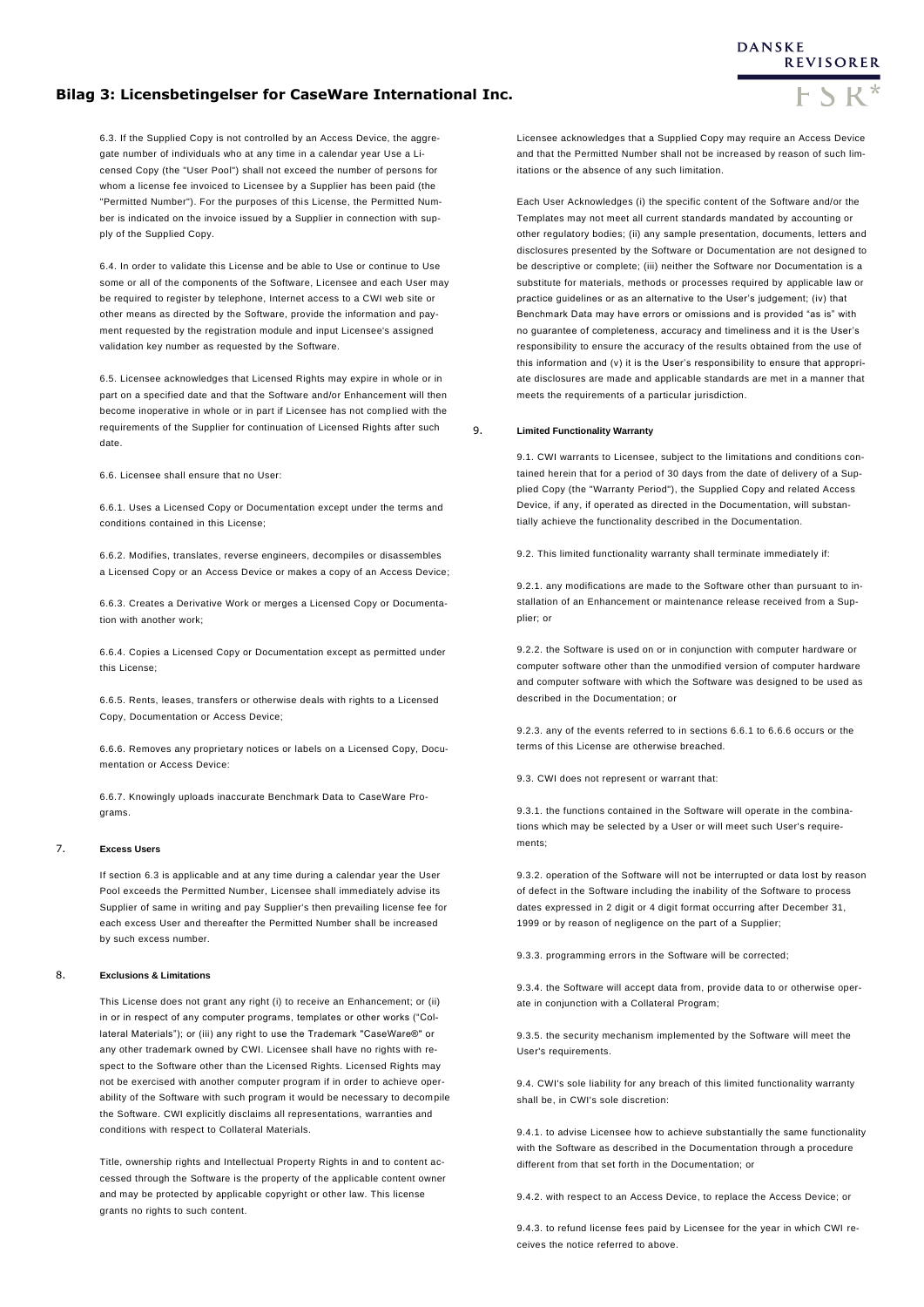**DANSKE REVISORER** 

# **Bilag 3: Licensbetingelser for CaseWare International Inc.**

6.3. If the Supplied Copy is not controlled by an Access Device, the aggregate number of individuals who at any time in a calendar year Use a Licensed Copy (the "User Pool") shall not exceed the number of persons for whom a license fee invoiced to Licensee by a Supplier has been paid (the "Permitted Number"). For the purposes of this License, the Permitted Number is indicated on the invoice issued by a Supplier in connection with supply of the Supplied Copy.

6.4. In order to validate this License and be able to Use or continue to Use some or all of the components of the Software, Licensee and each User may be required to register by telephone, Internet access to a CWI web site or other means as directed by the Software, provide the information and payment requested by the registration module and input Licensee's assigned validation key number as requested by the Software.

6.5. Licensee acknowledges that Licensed Rights may expire in whole or in part on a specified date and that the Software and/or Enhancement will then become inoperative in whole or in part if Licensee has not complied with the requirements of the Supplier for continuation of Licensed Rights after such date.

6.6. Licensee shall ensure that no User:

6.6.1. Uses a Licensed Copy or Documentation except under the terms and conditions contained in this License;

6.6.2. Modifies, translates, reverse engineers, decompiles or disassembles a Licensed Copy or an Access Device or makes a copy of an Access Device;

6.6.3. Creates a Derivative Work or merges a Licensed Copy or Documentation with another work;

6.6.4. Copies a Licensed Copy or Documentation except as permitted under this License;

6.6.5. Rents, leases, transfers or otherwise deals with rights to a Licensed Copy, Documentation or Access Device;

6.6.6. Removes any proprietary notices or labels on a Licensed Copy, Documentation or Access Device:

6.6.7. Knowingly uploads inaccurate Benchmark Data to CaseWare Programs.

# 7. **Excess Users**

If section 6.3 is applicable and at any time during a calendar year the User Pool exceeds the Permitted Number, Licensee shall immediately advise its Supplier of same in writing and pay Supplier's then prevailing license fee for each excess User and thereafter the Permitted Number shall be increased by such excess number.

# 8. **Exclusions & Limitations**

This License does not grant any right (i) to receive an Enhancement; or (ii) in or in respect of any computer programs, templates or other works ("Collateral Materials"); or (iii) any right to use the Trademark "CaseWare®" or any other trademark owned by CWI. Licensee shall have no rights with respect to the Software other than the Licensed Rights. Licensed Rights may not be exercised with another computer program if in order to achieve operability of the Software with such program it would be necessary to decompile the Software. CWI explicitly disclaims all representations, warranties and conditions with respect to Collateral Materials.

Title, ownership rights and Intellectual Property Rights in and to content accessed through the Software is the property of the applicable content owner and may be protected by applicable copyright or other law. This license grants no rights to such content.

Licensee acknowledges that a Supplied Copy may require an Access Device and that the Permitted Number shall not be increased by reason of such limitations or the absence of any such limitation.

Each User Acknowledges (i) the specific content of the Software and/or the Templates may not meet all current standards mandated by accounting or other regulatory bodies; (ii) any sample presentation, documents, letters and disclosures presented by the Software or Documentation are not designed to be descriptive or complete; (iii) neither the Software nor Documentation is a substitute for materials, methods or processes required by applicable law or practice guidelines or as an alternative to the User's judgement; (iv) that Benchmark Data may have errors or omissions and is provided "as is" with no guarantee of completeness, accuracy and timeliness and it is the User's responsibility to ensure the accuracy of the results obtained from the use of this information and (v) it is the User's responsibility to ensure that appropriate disclosures are made and applicable standards are met in a manner that meets the requirements of a particular jurisdiction.

# 9. **Limited Functionality Warranty**

9.1. CWI warrants to Licensee, subject to the limitations and conditions contained herein that for a period of 30 days from the date of delivery of a Supplied Copy (the "Warranty Period"), the Supplied Copy and related Access Device, if any, if operated as directed in the Documentation, will substantially achieve the functionality described in the Documentation.

9.2. This limited functionality warranty shall terminate immediately if:

9.2.1. any modifications are made to the Software other than pursuant to installation of an Enhancement or maintenance release received from a Supplier; or

9.2.2. the Software is used on or in conjunction with computer hardware or computer software other than the unmodified version of computer hardware and computer software with which the Software was designed to be used as described in the Documentation; or

9.2.3. any of the events referred to in sections 6.6.1 to 6.6.6 occurs or the terms of this License are otherwise breached.

9.3. CWI does not represent or warrant that:

9.3.1. the functions contained in the Software will operate in the combinations which may be selected by a User or will meet such User's requirements;

9.3.2. operation of the Software will not be interrupted or data lost by reason of defect in the Software including the inability of the Software to process dates expressed in 2 digit or 4 digit format occurring after December 31, 1999 or by reason of negligence on the part of a Supplier;

9.3.3. programming errors in the Software will be corrected;

9.3.4. the Software will accept data from, provide data to or otherwise operate in conjunction with a Collateral Program;

9.3.5. the security mechanism implemented by the Software will meet the User's requirements.

9.4. CWI's sole liability for any breach of this limited functionality warranty shall be, in CWI's sole discretion:

9.4.1. to advise Licensee how to achieve substantially the same functionality with the Software as described in the Documentation through a procedure different from that set forth in the Documentation; or

9.4.2. with respect to an Access Device, to replace the Access Device; or

9.4.3. to refund license fees paid by Licensee for the year in which CWI receives the notice referred to above.